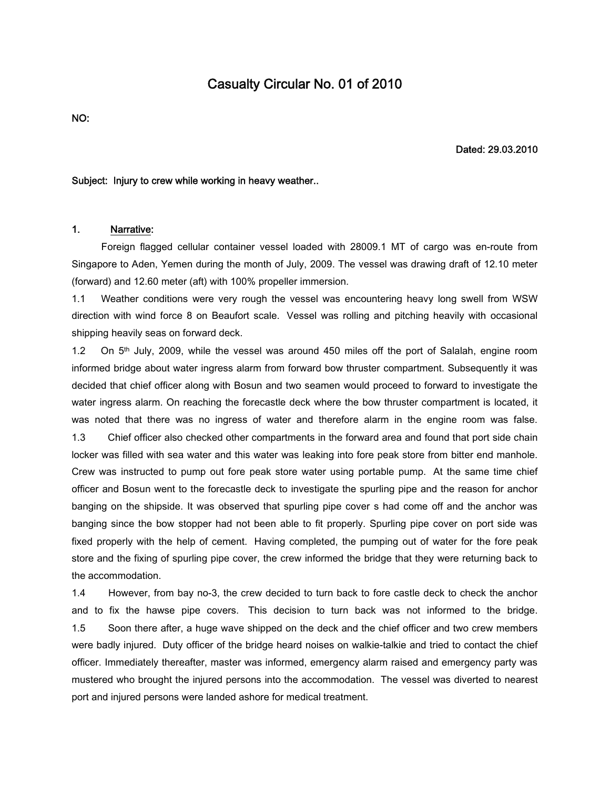# **Casualty Circular No. 01 of 2010**

**NO:**

**Dated: 29.03.2010**

#### **Subject: Injury to crew while working in heavy weather..**

### **1. Narrative:**

Foreign flagged cellular container vessel loaded with 28009.1 MT of cargo was en-route from Singapore to Aden, Yemen during the month of July, 2009. The vessel was drawing draft of 12.10 meter (forward) and 12.60 meter (aft) with 100% propeller immersion.

1.1 Weather conditions were very rough the vessel was encountering heavy long swell from WSW direction with wind force 8 on Beaufort scale. Vessel was rolling and pitching heavily with occasional shipping heavily seas on forward deck.

1.2 On 5<sup>th</sup> July, 2009, while the vessel was around 450 miles off the port of Salalah, engine room informed bridge about water ingress alarm from forward bow thruster compartment. Subsequently it was decided that chief officer along with Bosun and two seamen would proceed to forward to investigate the water ingress alarm. On reaching the forecastle deck where the bow thruster compartment is located, it was noted that there was no ingress of water and therefore alarm in the engine room was false. 1.3 Chief officer also checked other compartments in the forward area and found that port side chain locker was filled with sea water and this water was leaking into fore peak store from bitter end manhole. Crew was instructed to pump out fore peak store water using portable pump. At the same time chief officer and Bosun went to the forecastle deck to investigate the spurling pipe and the reason for anchor banging on the shipside. It was observed that spurling pipe cover s had come off and the anchor was banging since the bow stopper had not been able to fit properly. Spurling pipe cover on port side was fixed properly with the help of cement. Having completed, the pumping out of water for the fore peak store and the fixing of spurling pipe cover, the crew informed the bridge that they were returning back to the accommodation.

1.4 However, from bay no-3, the crew decided to turn back to fore castle deck to check the anchor and to fix the hawse pipe covers. This decision to turn back was not informed to the bridge. 1.5 Soon there after, a huge wave shipped on the deck and the chief officer and two crew members were badly injured. Duty officer of the bridge heard noises on walkie-talkie and tried to contact the chief officer. Immediately thereafter, master was informed, emergency alarm raised and emergency party was mustered who brought the injured persons into the accommodation. The vessel was diverted to nearest port and injured persons were landed ashore for medical treatment.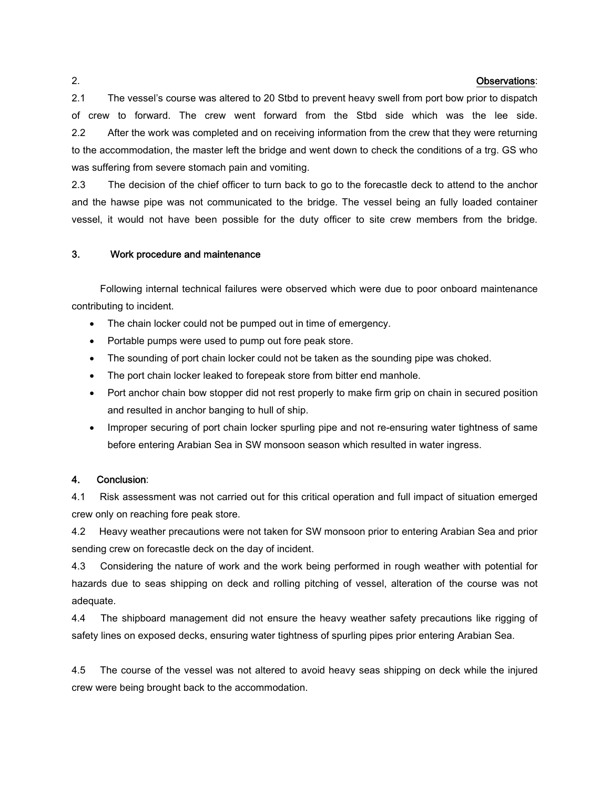#### 2. **Observations**:

2.1 The vessel's course was altered to 20 Stbd to prevent heavy swell from port bow prior to dispatch of crew to forward. The crew went forward from the Stbd side which was the lee side. 2.2 After the work was completed and on receiving information from the crew that they were returning to the accommodation, the master left the bridge and went down to check the conditions of a trg. GS who was suffering from severe stomach pain and vomiting.

2.3 The decision of the chief officer to turn back to go to the forecastle deck to attend to the anchor and the hawse pipe was not communicated to the bridge. The vessel being an fully loaded container vessel, it would not have been possible for the duty officer to site crew members from the bridge.

## **3. Work procedure and maintenance**

Following internal technical failures were observed which were due to poor onboard maintenance contributing to incident.

- The chain locker could not be pumped out in time of emergency.
- Portable pumps were used to pump out fore peak store.
- The sounding of port chain locker could not be taken as the sounding pipe was choked.
- The port chain locker leaked to forepeak store from bitter end manhole.
- Port anchor chain bow stopper did not rest properly to make firm grip on chain in secured position and resulted in anchor banging to hull of ship.
- Improper securing of port chain locker spurling pipe and not re-ensuring water tightness of same before entering Arabian Sea in SW monsoon season which resulted in water ingress.

# **4. Conclusion**:

4.1 Risk assessment was not carried out for this critical operation and full impact of situation emerged crew only on reaching fore peak store.

4.2 Heavy weather precautions were not taken for SW monsoon prior to entering Arabian Sea and prior sending crew on forecastle deck on the day of incident.

4.3 Considering the nature of work and the work being performed in rough weather with potential for hazards due to seas shipping on deck and rolling pitching of vessel, alteration of the course was not adequate.

4.4 The shipboard management did not ensure the heavy weather safety precautions like rigging of safety lines on exposed decks, ensuring water tightness of spurling pipes prior entering Arabian Sea.

4.5 The course of the vessel was not altered to avoid heavy seas shipping on deck while the injured crew were being brought back to the accommodation.